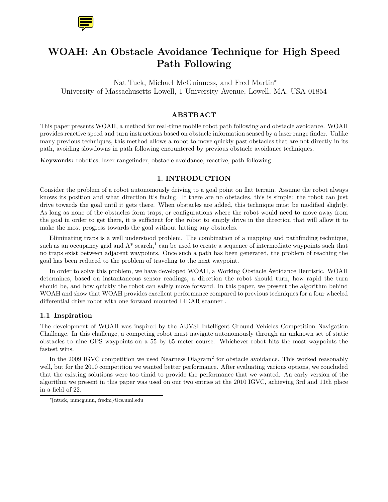

# **WOAH: An Obstacle Avoidance Technique for High Speed Path Following**

Nat Tuck, Michael McGuinness, and Fred Martin<sup>∗</sup> University of Massachusetts Lowell, 1 University Avenue, Lowell, MA, USA 01854

# **ABSTRACT**

This paper presents WOAH, a method for real-time mobile robot path following and obstacle avoidance. WOAH provides reactive speed and turn instructions based on obstacle information sensed by a laser range finder. Unlike many previous techniques, this method allows a robot to move quickly past obstacles that are not directly in its path, avoiding slowdowns in path following encountered by previous obstacle avoidance techniques.

**Keywords:** robotics, laser rangefinder, obstacle avoidance, reactive, path following

# **1. INTRODUCTION**

Consider the problem of a robot autonomously driving to a goal point on flat terrain. Assume the robot always knows its position and what direction it's facing. If there are no obstacles, this is simple: the robot can just drive towards the goal until it gets there. When obstacles are added, this technique must be modified slightly. As long as none of the obstacles form traps, or configurations where the robot would need to move away from the goal in order to get there, it is sufficient for the robot to simply drive in the direction that will allow it to make the most progress towards the goal without hitting any obstacles.

Eliminating traps is a well understood problem. The combination of a mapping and pathfinding technique, such as an occupancy grid and  $A^*$  search,<sup>1</sup> can be used to create a sequence of intermediate waypoints such that no traps exist between adjacent waypoints. Once such a path has been generated, the problem of reaching the goal has been reduced to the problem of traveling to the next waypoint.

In order to solve this problem, we have developed WOAH, a Working Obstacle Avoidance Heuristic. WOAH determines, based on instantaneous sensor readings, a direction the robot should turn, how rapid the turn should be, and how quickly the robot can safely move forward. In this paper, we present the algorithm behind WOAH and show that WOAH provides excellent performance compared to previous techniques for a four wheeled differential drive robot with one forward mounted LIDAR scanner .

#### **1.1 Inspiration**

The development of WOAH was inspired by the AUVSI Intelligent Ground Vehicles Competition Navigation Challenge. In this challenge, a competing robot must navigate autonomously through an unknown set of static obstacles to nine GPS waypoints on a 55 by 65 meter course. Whichever robot hits the most waypoints the fastest wins.

In the 2009 IGVC competition we used Nearness Diagram<sup>2</sup> for obstacle avoidance. This worked reasonably well, but for the 2010 competition we wanted better performance. After evaluating various options, we concluded that the existing solutions were too timid to provide the performance that we wanted. An early version of the algorithm we present in this paper was used on our two entries at the 2010 IGVC, achieving 3rd and 11th place in a field of 22.

<sup>∗</sup> {ntuck, mmcguinn, fredm}@cs.uml.edu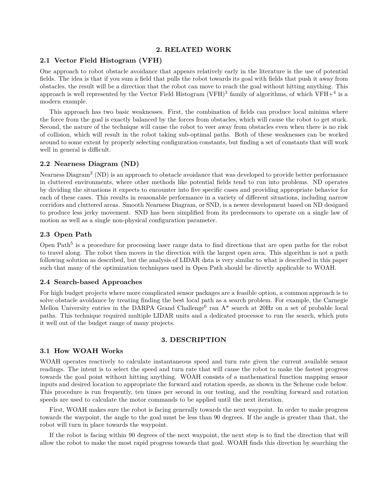# **2. RELATED WORK**

## **2.1 Vector Field Histogram (VFH)**

One approach to robot obstacle avoidance that appears relatively early in the literature is the use of potential fields. The idea is that if you sum a field that pulls the robot towards its goal with fields that push it away from obstacles, the result will be a direction that the robot can move to reach the goal without hitting anything. This approach is well represented by the Vector Field Histogram (VFH)<sup>3</sup> family of algorithms, of which VFH $+4$  is a modern example.

This approach has two basic weaknesses. First, the combination of fields can produce local minima where the force from the goal is exactly balanced by the forces from obstacles, which will cause the robot to get stuck. Second, the nature of the technique will cause the robot to veer away from obstacles even when there is no risk of collision, which will result in the robot taking sub-optimal paths. Both of these weaknesses can be worked around to some extent by properly selecting configuration constants, but finding a set of constants that will work well in general is difficult.

## **2.2 Nearness Diagram (ND)**

Nearness Diagram<sup>2</sup> (ND) is an approach to obstacle avoidance that was developed to provide better performance in cluttered environments, where other methods like potential fields tend to run into problems. ND operates by dividing the situations it expects to encounter into five specific cases and providing appropriate behavior for each of these cases. This results in reasonable performance in a variety of different situations, including narrow corridors and cluttered areas. Smooth Nearness Diagram, or SND, is a newer development based on ND designed to produce less jerky movement. SND has been simplified from its predecessors to operate on a single law of motion as well as a single non-physical configuration parameter.

# **2.3 Open Path**

Open Path<sup>5</sup> is a procedure for processing laser range data to find directions that are open paths for the robot to travel along. The robot then moves in the direction with the largest open area. This algorithm is not a path following solution as described, but the analysis of LIDAR data is very similar to what is described in this paper such that many of the optimization techniques used in Open Path should be directly applicable to WOAH.

## **2.4 Search-based Approaches**

For high budget projects where more complicated sensor packages are a feasible option, a common approach is to solve obstacle avoidance by treating finding the best local path as a search problem. For example, the Carnegie Mellon University entries in the DARPA Grand Challenge<sup>6</sup> ran  $A^*$  search at 20Hz on a set of probable local paths. This technique required multiple LIDAR units and a dedicated processor to run the search, which puts it well out of the budget range of many projects.

# **3. DESCRIPTION**

#### **3.1 How WOAH Works**

WOAH operates reactively to calculate instantaneous speed and turn rate given the current available sensor readings. The intent is to select the speed and turn rate that will cause the robot to make the fastest progress towards the goal point without hitting anything. WOAH consists of a mathematical function mapping sensor inputs and desired location to appropriate the forward and rotation speeds, as shown in the Scheme code below. This procedure is run frequently, ten times per second in our testing, and the resulting forward and rotation speeds are used to calculate the motor commands to be applied until the next iteration.

First, WOAH makes sure the robot is facing generally towards the next waypoint. In order to make progress towards the waypoint, the angle to the goal must be less than 90 degrees. If the angle is greater than that, the robot will turn in place towards the waypoint.

If the robot is facing within 90 degrees of the next waypoint, the next step is to find the direction that will allow the robot to make the most rapid progress towards that goal. WOAH finds this direction by searching the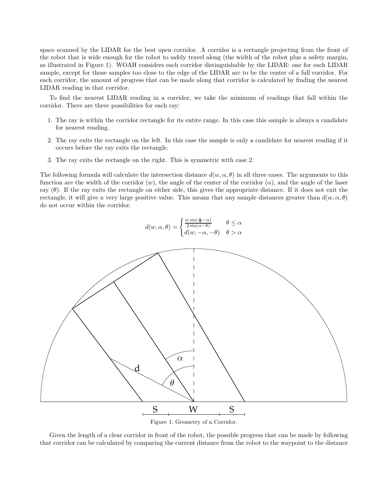space scanned by the LIDAR for the best open corridor. A corridor is a rectangle projecting from the front of the robot that is wide enough for the robot to safely travel along (the width of the robot plus a safety margin, as illustrated in Figure 1). WOAH considers each corridor distinguishable by the LIDAR: one for each LIDAR sample, except for those samples too close to the edge of the LIDAR arc to be the center of a full corridor. For each corridor, the amount of progress that can be made along that corridor is calculated by finding the nearest LIDAR reading in that corridor.

To find the nearest LIDAR reading in a corridor, we take the minimum of readings that fall within the corridor. There are three possibilities for each ray:

- 1. The ray is within the corridor rectangle for its entire range. In this case this sample is always a candidate for nearest reading.
- 2. The ray exits the rectangle on the left. In this case the sample is only a candidate for nearest reading if it occurs before the ray exits the rectangle.
- 3. The ray exits the rectangle on the right. This is symmetric with case 2.

The following formula will calculate the intersection distance  $d(w, \alpha, \theta)$  in all three cases. The arguments to this function are the width of the corridor  $(w)$ , the angle of the center of the corridor  $(\alpha)$ , and the angle of the laser ray (*θ*). If the ray exits the rectangle on either side, this gives the appropriate distance. If it does not exit the rectangle, it will give a very large positive value. This means that any sample distances greater than  $d(w, \alpha, \theta)$ do not occur within the corridor.

$$
d(w, \alpha, \theta) = \begin{cases} \frac{w \sin(\frac{\pi}{2} - \alpha)}{2 \sin(\alpha - \theta)} & \theta \le \alpha \\ d(w, -\alpha, -\theta) & \theta > \alpha \end{cases}
$$



Figure 1. Geometry of a Corridor.

Given the length of a clear corridor in front of the robot, the possible progress that can be made by following that corridor can be calculated by comparing the current distance from the robot to the waypoint to the distance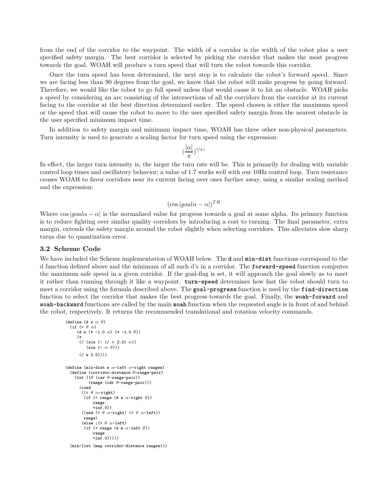from the end of the corridor to the waypoint. The width of a corridor is the width of the robot plus a user specified safety margin. The best corridor is selected by picking the corridor that makes the most progress towards the goal. WOAH will produce a turn speed that will turn the robot towards this corridor.

Once the turn speed has been determined, the next step is to calculate the robot's forward speed. Since we are facing less than 90 degrees from the goal, we know that the robot will make progress by going forward. Therefore, we would like the robot to go full speed unless that would cause it to hit an obstacle. WOAH picks a speed by considering an arc consisting of the intersections of all the corridors from the corridor at its current facing to the corridor at the best direction determined earlier. The speed chosen is either the maximum speed or the speed that will cause the robot to move to the user specified safety margin from the nearest obstacle in the user specified minimum impact time.

In addition to safety margin and minimum impact time, WOAH has three other non-physical parameters. Turn intensity is used to generate a scaling factor for turn speed using the expression:

$$
\big(\frac{|\alpha|}{\pi}\big)^{1/T}
$$

In effect, the larger turn intensity is, the larger the turn rate will be. This is primarily for dealing with variable control loop times and oscillatory behavior; a value of 1.7 works well with our 10Hz control loop. Turn resistance causes WOAH to favor corridors near its current facing over ones further away, using a similar scaling method and the expression:

# $(\cos|goal\alpha - \alpha|)^{TR}$

Where  $\cos|qo a a - \alpha|$  is the normalized value for progress towards a goal at some alpha. Its primary function is to reduce fighting over similar quality corridors by introducing a cost to turning. The final parameter, extra margin, extends the safety margin around the robot slightly when selecting corridors. This alleviates slow sharp turns due to quantization error.

#### **3.2 Scheme Code**

We have included the Scheme implementation of WOAH below. The **d** and **min-dist** functions correspond to the d function defined above and the minimum of all such d's in a corridor. The **forward-speed** function computes the maximum safe speed in a given corridor. If the goal-flag is set, it will approach the goal slowly as to meet it rather than running through it like a waypoint. **turn-speed** determines how fast the robot should turn to meet a corridor using the formula described above. The **goal-progress** function is used by the **find-direction** function to select the corridor that makes the best progress towards the goal. Finally, the **woah-forward** and **woah-backward** functions are called by the main **woah** function when the requested angle is in front of and behind the robot, respectively. It returns the recommended translational and rotation velocity commands.

```
(define (d w α θ)
  (if (> θ α)
    (d w (* -1.0 α) (* -1.0 θ))
     (*
      (/ (sin (- (/ π 2.0) α))
        (sin (- α θ)))
      (/ w 2.0))))
(define (min-dist w α-left α-right ranges)
  (define (corridor-distance θ-range-pair)
    (let ((θ (car θ-range-pair))
         (range (cdr θ-range-pair)))
      (cond
       ((< θ α-right)
        (if (< range (d w α-right θ))
           range
            +inf.0))
       ((and (> θ α-right) (< θ α-left))
        range)
       (else ;(> θ α-left)
        (if (< range (d w α-left θ))
           range
            +inf.0)))))
  (min-list (map corridor-distance ranges)))
```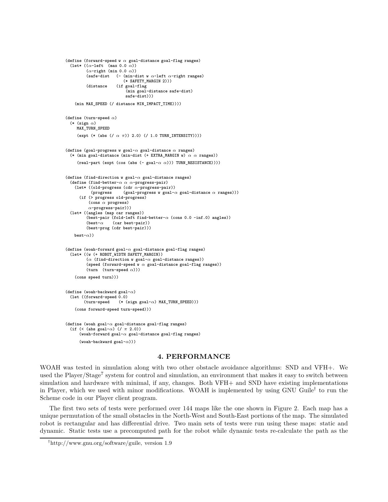```
(define (forward-speed w α goal-distance goal-flag ranges)
  (let* ((α-left (max 0.0 α))
         (α-right (min 0.0 α))
         (safe-dist (- (min-dist w α-left α-right ranges)
                         (* SAFETY_MARGIN 2)))
         (distance (if goal-flag
                          (min goal-distance safe-dist)
                          safe-dist)))
    (min MAX_SPEED (/ distance MIN_IMPACT_TIME))))
(define (turn-speed α)
  (* (sign α)
MAX_TURN_SPEED
     (expt (* (abs (/ α π)) 2.0) (/ 1.0 TURN_INTENSITY))))
(define (goal-progress w goal-α goal-distance α ranges)
  (* (min goal-distance (min-dist (+ EXTRA_MARGIN w) α α ranges))
     (real-part (expt (cos (abs (- goal-α α))) TURN_RESISTANCE))))
(define (find-direction w goal-α goal-distance ranges)
  (define (find-better-α α α-progress-pair)
    (let* ((old-progress (cdr α-progress-pair))
           (progress (goal-progress w goal-α goal-distance α ranges)))
      (if (> progress old-progress)
          (cons α progress)
         α-progress-pair)))
  (let* ((angles (map car ranges))
         (best-pair (fold-left find-better-α (cons 0.0 -inf.0) angles))
         (best-α (car best-pair))
         (best-prog (cdr best-pair)))
   \text{best-}\alpha))
(define (woah-forward goal-α goal-distance goal-flag ranges)
  (let* ((w (+ ROBOT_WIDTH SAFETY_MARGIN))
         (α (find-direction w goal-α goal-distance ranges))
         (speed (forward-speed w α goal-distance goal-flag ranges))
         (turn (turn-speed α)))
    (cons speed turn)))
(define (woah-backward goal-α)
  (let ((forward-speed 0.0)
        (turn-speed (* (sign goal-α) MAX_TURN_SPEED)))
    (cons forward-speed turn-speed)))
(define (woah goal-α goal-distance goal-flag ranges)
  (if (< (abs goal-α) (/ π 2.0))
      (woah-forward goal-α goal-distance goal-flag ranges)
      (woah-backward goal-α)))
```
#### **4. PERFORMANCE**

WOAH was tested in simulation along with two other obstacle avoidance algorithms: SND and VFH+. We used the Player/Stage<sup>7</sup> system for control and simulation, an environment that makes it easy to switch between simulation and hardware with minimal, if any, changes. Both VFH+ and SND have existing implementations in Player, which we used with minor modifications. WOAH is implemented by using GNU Guile† to run the Scheme code in our Player client program.

The first two sets of tests were performed over 144 maps like the one shown in Figure 2. Each map has a unique permutation of the small obstacles in the North-West and South-East portions of the map. The simulated robot is rectangular and has differential drive. Two main sets of tests were run using these maps: static and dynamic. Static tests use a precomputed path for the robot while dynamic tests re-calculate the path as the

<sup>†</sup>http://www.gnu.org/software/guile, version 1.9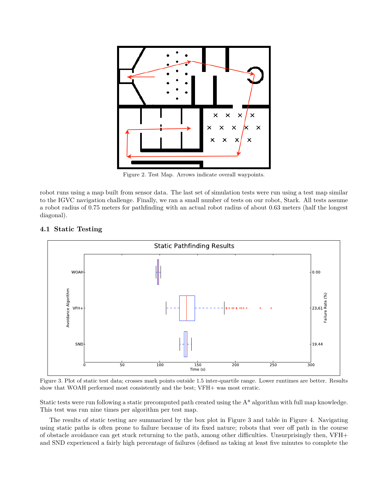

Figure 2. Test Map. Arrows indicate overall waypoints.

robot runs using a map built from sensor data. The last set of simulation tests were run using a test map similar to the IGVC navigation challenge. Finally, we ran a small number of tests on our robot, Stark. All tests assume a robot radius of 0.75 meters for pathfinding with an actual robot radius of about 0.63 meters (half the longest diagonal).



# **4.1 Static Testing**

Figure 3. Plot of static test data; crosses mark points outside 1.5 inter-quartile range. Lower runtimes are better. Results show that WOAH performed most consistently and the best; VFH+ was most erratic.

Static tests were run following a static precomputed path created using the A\* algorithm with full map knowledge. This test was run nine times per algorithm per test map.

The results of static testing are summarized by the box plot in Figure 3 and table in Figure 4. Navigating using static paths is often prone to failure because of its fixed nature; robots that veer off path in the course of obstacle avoidance can get stuck returning to the path, among other difficulties. Unsurprisingly then, VFH+ and SND experienced a fairly high percentage of failures (defined as taking at least five minutes to complete the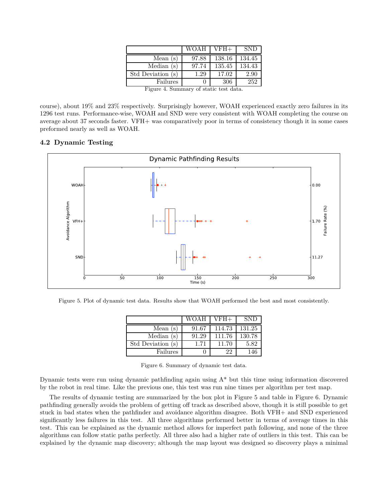| WOAH  | $\rm VFH+$ | <b>SND</b>                  |
|-------|------------|-----------------------------|
| 97.88 | 138.16     | 134.45                      |
| 97.74 | 135.45     | 134.43                      |
| 1.29  | 17.02      | 2.90                        |
|       | 306        | 252                         |
|       |            | Summary of statis tost data |

Figure 4. Summary of static test data.

course), about 19% and 23% respectively. Surprisingly however, WOAH experienced exactly zero failures in its 1296 test runs. Performance-wise, WOAH and SND were very consistent with WOAH completing the course on average about 37 seconds faster. VFH+ was comparatively poor in terms of consistency though it in some cases preformed nearly as well as WOAH.

# **4.2 Dynamic Testing**



Figure 5. Plot of dynamic test data. Results show that WOAH performed the best and most consistently.

|                   | WOAH  | VFH+   | <b>SND</b> |
|-------------------|-------|--------|------------|
| Mean $(s)$        | 91.67 | 114.73 | 131.25     |
| Median $(s)$      | 91.29 | 111.76 | 130.78     |
| Std Deviation (s) | 1.71  | 11.70  | 5.82       |
| Failures          |       | 99     | 146        |

Figure 6. Summary of dynamic test data.

Dynamic tests were run using dynamic pathfinding again using A\* but this time using information discovered by the robot in real time. Like the previous one, this test was run nine times per algorithm per test map.

The results of dynamic testing are summarized by the box plot in Figure 5 and table in Figure 6. Dynamic pathfinding generally avoids the problem of getting off track as described above, though it is still possible to get stuck in bad states when the pathfinder and avoidance algorithm disagree. Both VFH+ and SND experienced significantly less failures in this test. All three algorithms performed better in terms of average times in this test. This can be explained as the dynamic method allows for imperfect path following, and none of the three algorithms can follow static paths perfectly. All three also had a higher rate of outliers in this test. This can be explained by the dynamic map discovery; although the map layout was designed so discovery plays a minimal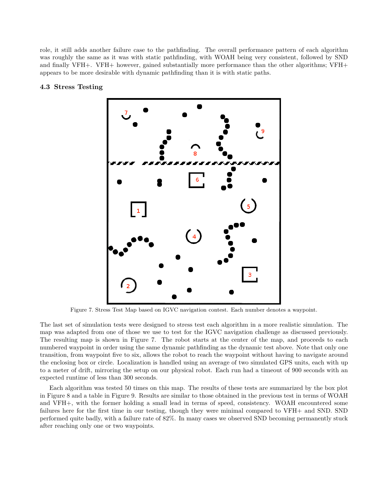role, it still adds another failure case to the pathfinding. The overall performance pattern of each algorithm was roughly the same as it was with static pathfinding, with WOAH being very consistent, followed by SND and finally VFH+. VFH+ however, gained substantially more performance than the other algorithms; VFH+ appears to be more desirable with dynamic pathfinding than it is with static paths.



## **4.3 Stress Testing**

Figure 7. Stress Test Map based on IGVC navigation contest. Each number denotes a waypoint.

The last set of simulation tests were designed to stress test each algorithm in a more realistic simulation. The map was adapted from one of those we use to test for the IGVC navigation challenge as discussed previously. The resulting map is shown in Figure 7. The robot starts at the center of the map, and proceeds to each numbered waypoint in order using the same dynamic pathfinding as the dynamic test above. Note that only one transition, from waypoint five to six, allows the robot to reach the waypoint without having to navigate around the enclosing box or circle. Localization is handled using an average of two simulated GPS units, each with up to a meter of drift, mirroring the setup on our physical robot. Each run had a timeout of 900 seconds with an expected runtime of less than 300 seconds.

Each algorithm was tested 50 times on this map. The results of these tests are summarized by the box plot in Figure 8 and a table in Figure 9. Results are similar to those obtained in the previous test in terms of WOAH and VFH+, with the former holding a small lead in terms of speed, consistency. WOAH encountered some failures here for the first time in our testing, though they were minimal compared to VFH+ and SND. SND performed quite badly, with a failure rate of 82%. In many cases we observed SND becoming permanently stuck after reaching only one or two waypoints.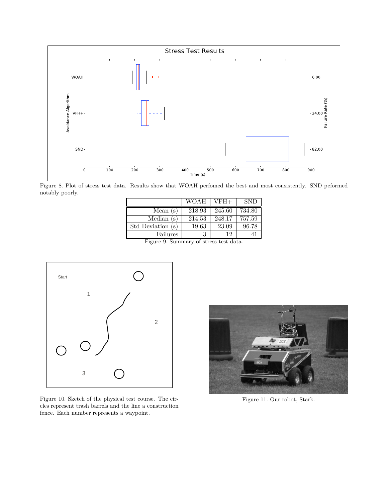

Figure 8. Plot of stress test data. Results show that WOAH perfomed the best and most consistently. SND peformed notably poorly.

|                   | <b>WOAH</b> | $\rm VFH+$ | <b>SND</b> |
|-------------------|-------------|------------|------------|
| Mean $(s)$        | 218.93      | 245.60     | 734.80     |
| Median $(s)$      | 214.53      | 248.17     | 757.59     |
| Std Deviation (s) | 19.63       | 23.09      | 96.78      |
| Failures          |             | 12         |            |

Figure 9. Summary of stress test data.



Figure 10. Sketch of the physical test course. The circles represent trash barrels and the line a construction fence. Each number represents a waypoint.



Figure 11. Our robot, Stark.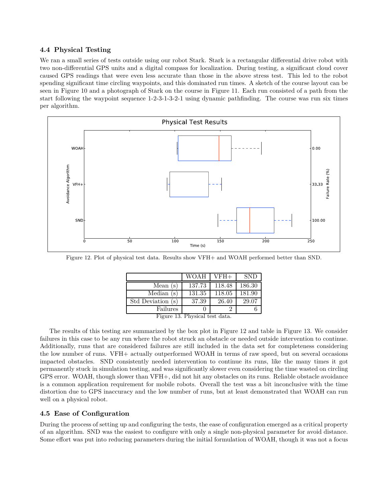# **4.4 Physical Testing**

We ran a small series of tests outside using our robot Stark. Stark is a rectangular differential drive robot with two non-differential GPS units and a digital compass for localization. During testing, a significant cloud cover caused GPS readings that were even less accurate than those in the above stress test. This led to the robot spending significant time circling waypoints, and this dominated run times. A sketch of the course layout can be seen in Figure 10 and a photograph of Stark on the course in Figure 11. Each run consisted of a path from the start following the waypoint sequence 1-2-3-1-3-2-1 using dynamic pathfinding. The course was run six times per algorithm.



Figure 12. Plot of physical test data. Results show VFH+ and WOAH performed better than SND.

|                   | <b>WOAH</b> | $VFH+$ | <b>SND</b> |
|-------------------|-------------|--------|------------|
| Mean $(s)$        | 137.73      | 118.48 | 186.30     |
| Median $(s)$      | 131.35      | 118.05 | 181.90     |
| Std Deviation (s) | 37.39       | 26.40  | 29.07      |
| Failures          |             | ٠,     |            |

Figure 13. Physical test data.

The results of this testing are summarized by the box plot in Figure 12 and table in Figure 13. We consider failures in this case to be any run where the robot struck an obstacle or needed outside intervention to continue. Additionally, runs that are considered failures are still included in the data set for completeness considering the low number of runs. VFH+ actually outperformed WOAH in terms of raw speed, but on several occasions impacted obstacles. SND consistently needed intervention to continue its runs, like the many times it got permanently stuck in simulation testing, and was significantly slower even considering the time wasted on circling GPS error. WOAH, though slower than VFH+, did not hit any obstacles on its runs. Reliable obstacle avoidance is a common application requirement for mobile robots. Overall the test was a bit inconclusive with the time distortion due to GPS inaccuracy and the low number of runs, but at least demonstrated that WOAH can run well on a physical robot.

# **4.5 Ease of Configuration**

During the process of setting up and configuring the tests, the ease of configuration emerged as a critical property of an algorithm. SND was the easiest to configure with only a single non-physical parameter for avoid distance. Some effort was put into reducing parameters during the initial formulation of WOAH, though it was not a focus